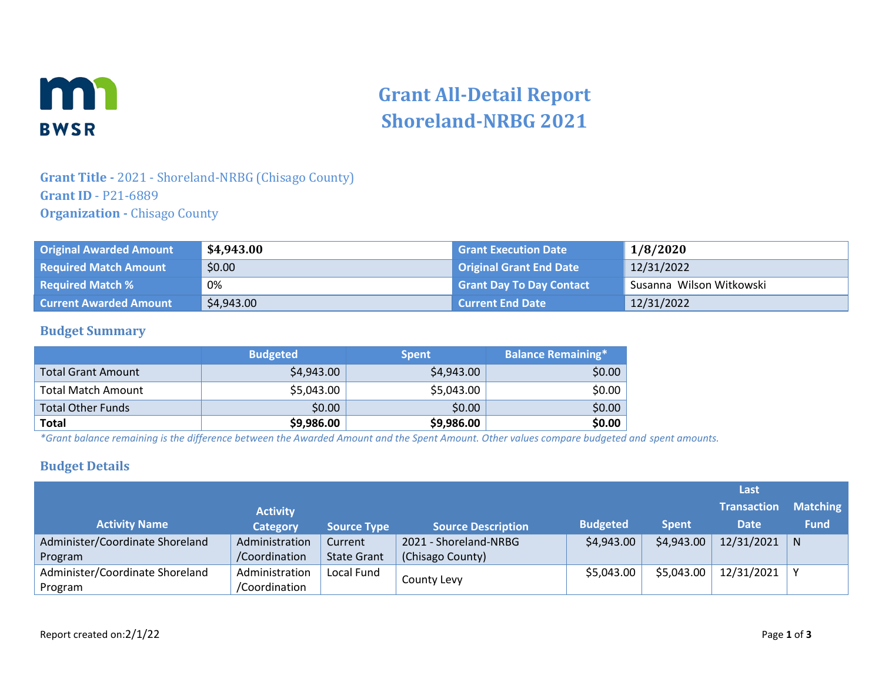

# **Grant All-Detail Report Shoreland-NRBG 2021**

## **Grant Title -** 2021 - Shoreland-NRBG (Chisago County) **Grant ID** - P21-6889 **Organization -** Chisago County

| <b>Original Awarded Amount</b> | \$4,943.00 | <b>Grant Execution Date</b>     | 1/8/2020                 |
|--------------------------------|------------|---------------------------------|--------------------------|
| <b>Required Match Amount</b>   | \$0.00     | <b>Original Grant End Date</b>  | 12/31/2022               |
| <b>Required Match %</b>        | 0%         | <b>Grant Day To Day Contact</b> | Susanna Wilson Witkowski |
| <b>Current Awarded Amount</b>  | \$4,943.00 | <b>Current End Date</b>         | 12/31/2022               |

#### **Budget Summary**

|                           | <b>Budgeted</b> | <b>Spent</b> | <b>Balance Remaining*</b> |
|---------------------------|-----------------|--------------|---------------------------|
| <b>Total Grant Amount</b> | \$4,943.00      | \$4,943.00   | \$0.00                    |
| <b>Total Match Amount</b> | \$5,043.00      | \$5,043.00   | \$0.00                    |
| <b>Total Other Funds</b>  | \$0.00          | \$0.00       | \$0.00                    |
| <b>Total</b>              | \$9,986.00      | \$9,986.00   | \$0.00                    |

*\*Grant balance remaining is the difference between the Awarded Amount and the Spent Amount. Other values compare budgeted and spent amounts.*

#### **Budget Details**

|                                 |                 |                    |                           |                 |              | Last               |                 |
|---------------------------------|-----------------|--------------------|---------------------------|-----------------|--------------|--------------------|-----------------|
|                                 | <b>Activity</b> |                    |                           |                 |              | <b>Transaction</b> | <b>Matching</b> |
| <b>Activity Name</b>            | <b>Category</b> | <b>Source Type</b> | <b>Source Description</b> | <b>Budgeted</b> | <b>Spent</b> | <b>Date</b>        | <b>Fund</b>     |
| Administer/Coordinate Shoreland | Administration  | Current            | 2021 - Shoreland-NRBG     | \$4,943.00      | \$4,943.00   | 12/31/2021         | N               |
| Program                         | /Coordination   | <b>State Grant</b> | (Chisago County)          |                 |              |                    |                 |
| Administer/Coordinate Shoreland | Administration  | Local Fund         |                           | \$5,043.00      | \$5,043.00   | 12/31/2021         |                 |
| Program                         | /Coordination   |                    | County Levy               |                 |              |                    |                 |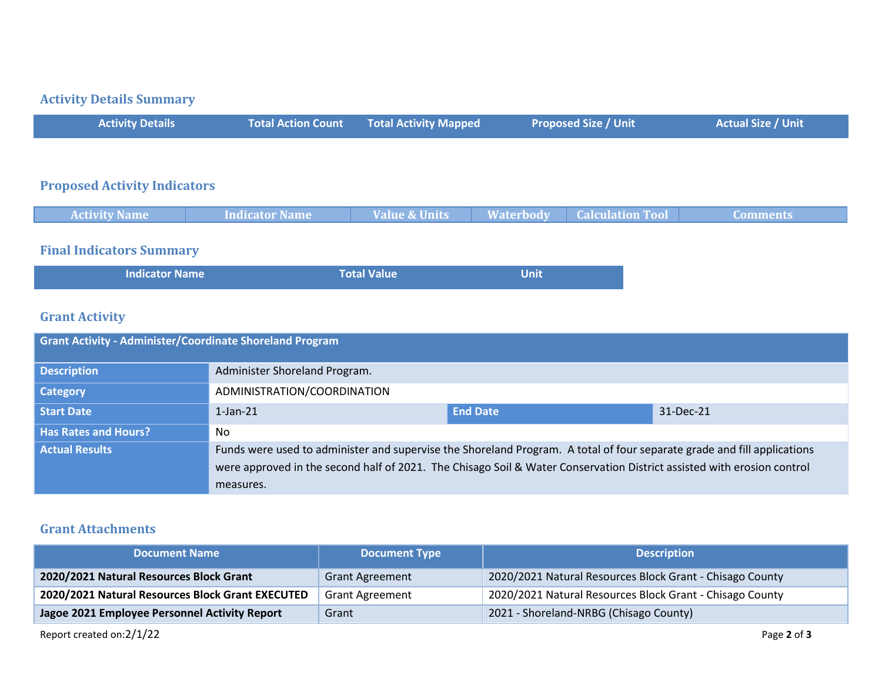# **Activity Details Summary**

| <b>Activity Details</b>             | <b>Total Action Count</b> | <b>Total Activity Mapped</b> | <b>Proposed Size / Unit</b>                 | <b>Actual Size / Unit</b> |
|-------------------------------------|---------------------------|------------------------------|---------------------------------------------|---------------------------|
|                                     |                           |                              |                                             |                           |
| <b>Proposed Activity Indicators</b> |                           |                              |                                             |                           |
| <b>Activity Name</b>                | <b>Indicator Name</b>     | <b>Value &amp; Units</b>     | <b>Waterbody</b><br><b>Calculation Tool</b> | <b>Comments</b>           |

# **Final Indicators Summary**

| <b>Indicator Name</b> | Total Value | <b>Unit</b> |  |
|-----------------------|-------------|-------------|--|
|-----------------------|-------------|-------------|--|

## **Grant Activity**

| <b>Grant Activity - Administer/Coordinate Shoreland Program</b> |                                                                                                                         |                 |           |  |
|-----------------------------------------------------------------|-------------------------------------------------------------------------------------------------------------------------|-----------------|-----------|--|
| <b>Description</b>                                              | Administer Shoreland Program.                                                                                           |                 |           |  |
| <b>Category</b>                                                 | ADMINISTRATION/COORDINATION                                                                                             |                 |           |  |
| <b>Start Date</b>                                               | $1$ -Jan- $21$                                                                                                          | <b>End Date</b> | 31-Dec-21 |  |
| <b>Has Rates and Hours?</b>                                     | No                                                                                                                      |                 |           |  |
| <b>Actual Results</b>                                           | Funds were used to administer and supervise the Shoreland Program. A total of four separate grade and fill applications |                 |           |  |
|                                                                 | were approved in the second half of 2021. The Chisago Soil & Water Conservation District assisted with erosion control  |                 |           |  |
|                                                                 | measures.                                                                                                               |                 |           |  |

### **Grant Attachments**

| <b>Document Name</b>                             | <b>Document Type</b>   | <b>Description</b>                                       |
|--------------------------------------------------|------------------------|----------------------------------------------------------|
| 2020/2021 Natural Resources Block Grant          | <b>Grant Agreement</b> | 2020/2021 Natural Resources Block Grant - Chisago County |
| 2020/2021 Natural Resources Block Grant EXECUTED | <b>Grant Agreement</b> | 2020/2021 Natural Resources Block Grant - Chisago County |
| Jagoe 2021 Employee Personnel Activity Report    | Grant                  | 2021 - Shoreland-NRBG (Chisago County)                   |